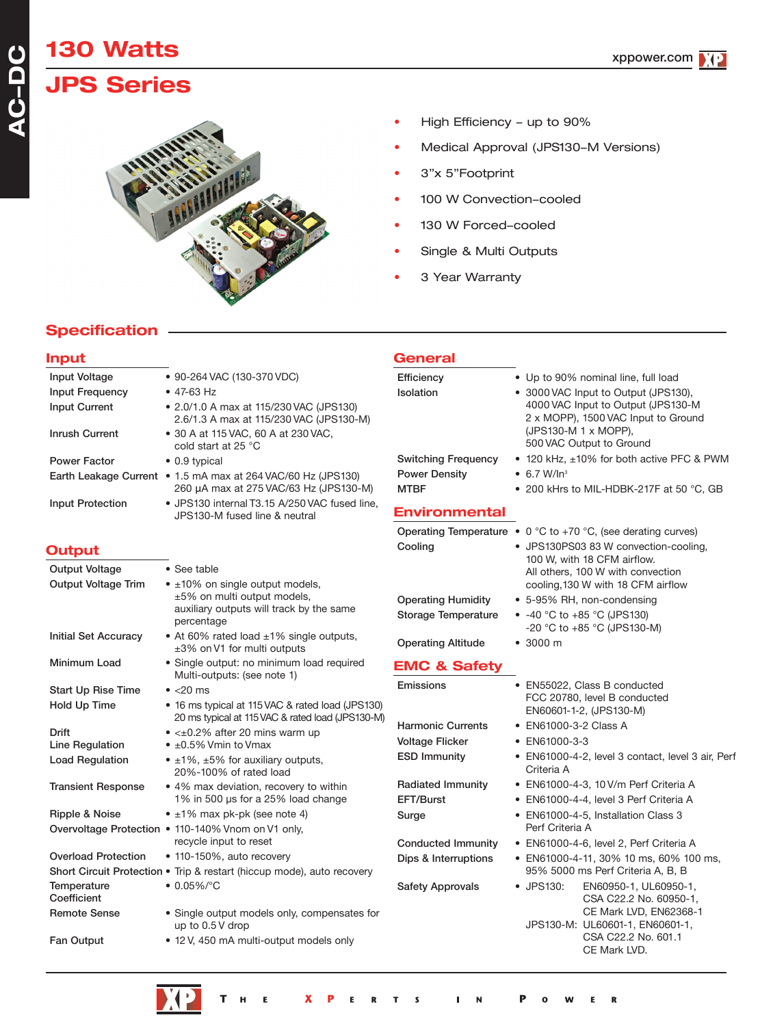# **130 Watts JPS Series**

**AC-DC**

**AC-DC** 



- High Efficiency up to 90%
- Medical Approval (JPS130-M Versions)
- 3"x 5"Footprint
- 100 W Convection-cooled
- 130 W Forced-cooled
- Single & Multi Outputs
- 3 Year Warranty

**General**

## **Specification**

#### **Input**

| Input Voltage                                       | • 90-264 VAC (130-370 VDC)                                                                             | Efficiency                          | • Up to 90% nominal line, full load                                         |
|-----------------------------------------------------|--------------------------------------------------------------------------------------------------------|-------------------------------------|-----------------------------------------------------------------------------|
| Input Frequency                                     | $\bullet$ 47-63 Hz                                                                                     | Isolation                           | • 3000 VAC Input to Output (JPS130),                                        |
| Input Current                                       | • 2.0/1.0 A max at 115/230 VAC (JPS130)<br>2.6/1.3 A max at 115/230 VAC (JPS130-M)                     |                                     | 4000 VAC Input to Output (JPS130-M<br>2 x MOPP), 1500 VAC Input to Ground   |
| <b>Inrush Current</b>                               | • 30 A at 115 VAC, 60 A at 230 VAC,<br>cold start at 25 °C                                             |                                     | (JPS130-M 1 x MOPP),<br>500 VAC Output to Ground                            |
| <b>Power Factor</b>                                 | • 0.9 typical                                                                                          | <b>Switching Frequency</b>          | • 120 kHz, ±10% for both active PFC & PWM                                   |
|                                                     | Earth Leakage Current • 1.5 mA max at 264 VAC/60 Hz (JPS130)<br>260 µA max at 275 VAC/63 Hz (JPS130-M) | <b>Power Density</b><br><b>MTBF</b> | $\bullet$ 6.7 W/In <sup>3</sup><br>• 200 kHrs to MIL-HDBK-217F at 50 °C, GB |
| <b>Input Protection</b>                             | • JPS130 internal T3.15 A/250 VAC fused line,<br>JPS130-M fused line & neutral                         | <b>Environmental</b>                |                                                                             |
|                                                     |                                                                                                        |                                     | Operating Temperature $\bullet$ 0 °C to +70 °C, (see derating curves)       |
| <b>Output</b>                                       |                                                                                                        | Cooling                             | • JPS130PS03 83 W convection-cooling,                                       |
|                                                     |                                                                                                        |                                     | 100 W, with 18 CFM airflow.                                                 |
| <b>Output Voltage</b><br><b>Output Voltage Trim</b> | • See table<br>$\bullet$ ±10% on single output models,                                                 |                                     | All others, 100 W with convection<br>cooling, 130 W with 18 CFM airflow     |
|                                                     | ±5% on multi output models,                                                                            | <b>Operating Humidity</b>           | • 5-95% RH, non-condensing                                                  |
|                                                     | auxiliary outputs will track by the same                                                               | <b>Storage Temperature</b>          | • $-40$ °C to $+85$ °C (JPS130)                                             |
|                                                     | percentage                                                                                             |                                     | -20 °C to +85 °C (JPS130-M)                                                 |
| <b>Initial Set Accuracy</b>                         | • At 60% rated load ±1% single outputs,<br>±3% on V1 for multi outputs                                 | <b>Operating Altitude</b>           | • 3000 m                                                                    |
| Minimum Load                                        | • Single output: no minimum load required<br>Multi-outputs: (see note 1)                               | <b>EMC &amp; Safety</b>             |                                                                             |
| <b>Start Up Rise Time</b>                           | $\bullet$ <20 ms                                                                                       | Emissions                           | • EN55022, Class B conducted                                                |
| Hold Up Time                                        | • 16 ms typical at 115 VAC & rated load (JPS130)<br>20 ms typical at 115 VAC & rated load (JPS130-M)   |                                     | FCC 20780, level B conducted<br>EN60601-1-2, (JPS130-M)                     |
| <b>Drift</b>                                        | $\bullet$ < $\pm$ 0.2% after 20 mins warm up                                                           | <b>Harmonic Currents</b>            | • EN61000-3-2 Class A                                                       |
| Line Regulation                                     | $\bullet$ ±0.5% Vmin to Vmax                                                                           | <b>Voltage Flicker</b>              | • EN61000-3-3                                                               |
| <b>Load Regulation</b>                              | • $\pm 1\%$ , $\pm 5\%$ for auxiliary outputs,<br>20%-100% of rated load                               | <b>ESD Immunity</b>                 | • EN61000-4-2, level 3 contact, level 3 air, Perf<br>Criteria A             |
| <b>Transient Response</b>                           | • 4% max deviation, recovery to within                                                                 | <b>Radiated Immunity</b>            | • EN61000-4-3, 10 V/m Perf Criteria A                                       |
|                                                     | 1% in 500 µs for a 25% load change                                                                     | EFT/Burst                           | • EN61000-4-4, level 3 Perf Criteria A                                      |
| Ripple & Noise                                      | $\bullet$ ±1% max pk-pk (see note 4)                                                                   | Surge                               | • EN61000-4-5, Installation Class 3                                         |
|                                                     | Overvoltage Protection . 110-140% Vnom on V1 only,                                                     |                                     | Perf Criteria A                                                             |
|                                                     | recycle input to reset                                                                                 | <b>Conducted Immunity</b>           | • EN61000-4-6, level 2, Perf Criteria A                                     |
| <b>Overload Protection</b>                          | • 110-150%, auto recovery                                                                              | Dips & Interruptions                | • EN61000-4-11, 30% 10 ms, 60% 100 ms,                                      |
|                                                     | Short Circuit Protection • Trip & restart (hiccup mode), auto recovery                                 |                                     | 95% 5000 ms Perf Criteria A, B, B                                           |
| <b>Temperature</b><br>Coefficient                   | $\bullet$ 0.05%/°C                                                                                     | <b>Safety Approvals</b>             | • JPS130:<br>EN60950-1, UL60950-1,<br>CSA C22.2 No. 60950-1,                |
| <b>Remote Sense</b>                                 | • Single output models only, compensates for<br>up to $0.5V$ drop                                      |                                     | CE Mark LVD, EN62368-1<br>JPS130-M: UL60601-1, EN60601-1,                   |
| Fan Output                                          | • 12 V, 450 mA multi-output models only                                                                |                                     | CSA C22.2 No. 601.1<br>CE Mark LVD.                                         |
|                                                     |                                                                                                        |                                     |                                                                             |